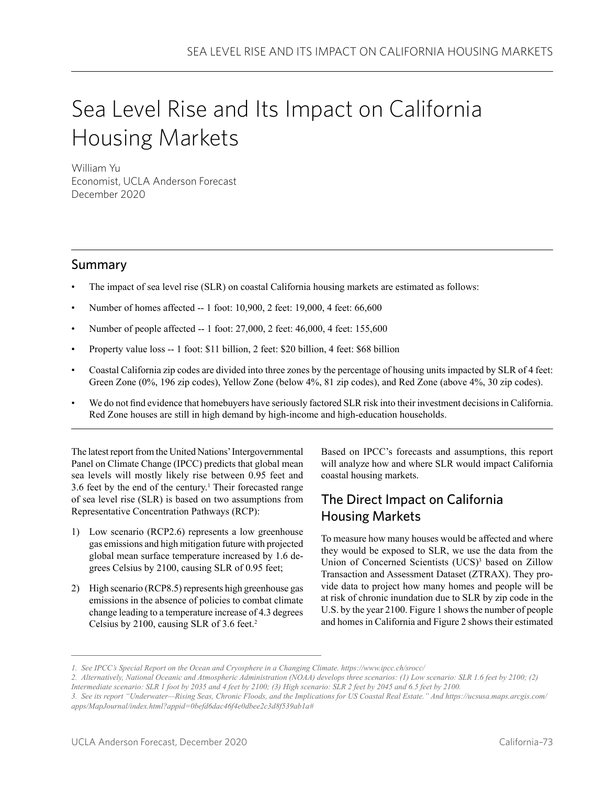# Sea Level Rise and Its Impact on California Housing Markets

William Yu Economist, UCLA Anderson Forecast December 2020

### Summary

- The impact of sea level rise (SLR) on coastal California housing markets are estimated as follows:
- Number of homes affected -- 1 foot: 10,900, 2 feet: 19,000, 4 feet: 66,600
- Number of people affected -- 1 foot: 27,000, 2 feet: 46,000, 4 feet: 155,600
- Property value loss -- 1 foot: \$11 billion, 2 feet: \$20 billion, 4 feet: \$68 billion
- Coastal California zip codes are divided into three zones by the percentage of housing units impacted by SLR of 4 feet: Green Zone (0%, 196 zip codes), Yellow Zone (below 4%, 81 zip codes), and Red Zone (above 4%, 30 zip codes).
- We do not find evidence that homebuyers have seriously factored SLR risk into their investment decisions in California. Red Zone houses are still in high demand by high-income and high-education households.

The latest report from the United Nations' Intergovernmental Panel on Climate Change (IPCC) predicts that global mean sea levels will mostly likely rise between 0.95 feet and 3.6 feet by the end of the century.<sup>1</sup> Their forecasted range of sea level rise (SLR) is based on two assumptions from Representative Concentration Pathways (RCP):

- 1) Low scenario (RCP2.6) represents a low greenhouse gas emissions and high mitigation future with projected global mean surface temperature increased by 1.6 degrees Celsius by 2100, causing SLR of 0.95 feet;
- 2) High scenario (RCP8.5) represents high greenhouse gas emissions in the absence of policies to combat climate change leading to a temperature increase of 4.3 degrees Celsius by 2100, causing SLR of 3.6 feet.<sup>2</sup>

Based on IPCC's forecasts and assumptions, this report will analyze how and where SLR would impact California coastal housing markets.

## The Direct Impact on California Housing Markets

To measure how many houses would be affected and where they would be exposed to SLR, we use the data from the Union of Concerned Scientists (UCS)<sup>3</sup> based on Zillow Transaction and Assessment Dataset (ZTRAX). They provide data to project how many homes and people will be at risk of chronic inundation due to SLR by zip code in the U.S. by the year 2100. Figure 1 shows the number of people and homes in California and Figure 2 shows their estimated

*<sup>1.</sup> See IPCC's Special Report on the Ocean and Cryosphere in a Changing Climate. https://www.ipcc.ch/srocc/*

*<sup>2.</sup> Alternatively, National Oceanic and Atmospheric Administration (NOAA) develops three scenarios: (1) Low scenario: SLR 1.6 feet by 2100; (2) Intermediate scenario: SLR 1 foot by 2035 and 4 feet by 2100; (3) High scenario: SLR 2 feet by 2045 and 6.5 feet by 2100.* 

*<sup>3.</sup> See its report "Underwater—Rising Seas, Chronic Floods, and the Implications for US Coastal Real Estate." And https://ucsusa.maps.arcgis.com/ apps/MapJournal/index.html?appid=0befd6dac46f4e0dbee2c3d8f539ab1a#*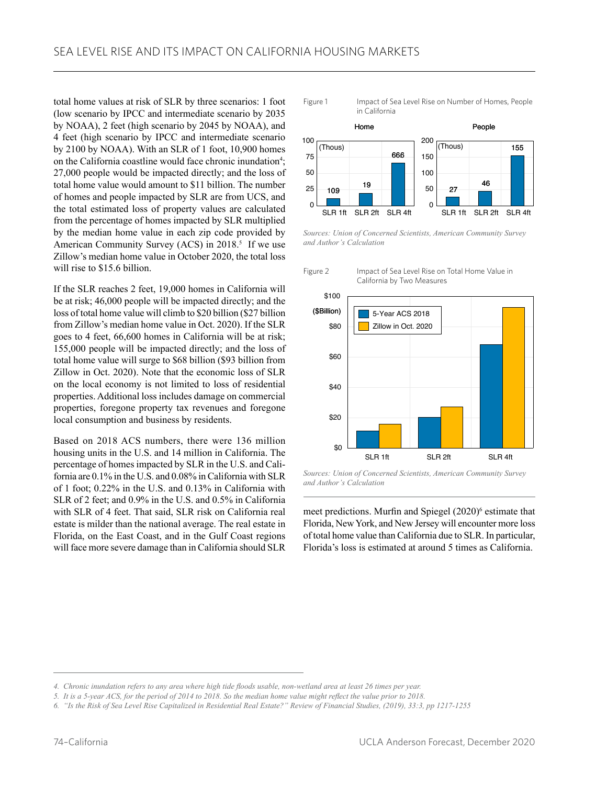total home values at risk of SLR by three scenarios: 1 foot (low scenario by IPCC and intermediate scenario by 2035 by NOAA), 2 feet (high scenario by 2045 by NOAA), and 4 feet (high scenario by IPCC and intermediate scenario by 2100 by NOAA). With an SLR of 1 foot, 10,900 homes on the California coastline would face chronic inundation<sup>4</sup>; 27,000 people would be impacted directly; and the loss of total home value would amount to \$11 billion. The number of homes and people impacted by SLR are from UCS, and the total estimated loss of property values are calculated from the percentage of homes impacted by SLR multiplied by the median home value in each zip code provided by American Community Survey (ACS) in 2018.<sup>5</sup> If we use Zillow's median home value in October 2020, the total loss will rise to \$15.6 billion.

If the SLR reaches 2 feet, 19,000 homes in California will be at risk; 46,000 people will be impacted directly; and the loss of total home value will climb to \$20 billion (\$27 billion from Zillow's median home value in Oct. 2020). If the SLR goes to 4 feet, 66,600 homes in California will be at risk; 155,000 people will be impacted directly; and the loss of total home value will surge to \$68 billion (\$93 billion from Zillow in Oct. 2020). Note that the economic loss of SLR on the local economy is not limited to loss of residential properties. Additional loss includes damage on commercial properties, foregone property tax revenues and foregone local consumption and business by residents.

Based on 2018 ACS numbers, there were 136 million housing units in the U.S. and 14 million in California. The percentage of homes impacted by SLR in the U.S. and California are 0.1% in the U.S. and 0.08% in California with SLR of 1 foot; 0.22% in the U.S. and 0.13% in California with SLR of 2 feet; and 0.9% in the U.S. and 0.5% in California with SLR of 4 feet. That said, SLR risk on California real estate is milder than the national average. The real estate in Florida, on the East Coast, and in the Gulf Coast regions will face more severe damage than in California should SLR

Figure 1 Impact of Sea Level Rise on Number of Homes, People in California



*Sources: Union of Concerned Scientists, American Community Survey and Author's Calculation*



Figure 2 Impact of Sea Level Rise on Total Home Value in California by Two Measures

*Sources: Union of Concerned Scientists, American Community Survey and Author's Calculation*

meet predictions. Murfin and Spiegel (2020)<sup>6</sup> estimate that Florida, New York, and New Jersey will encounter more loss of total home value than California due to SLR. In particular, Florida's loss is estimated at around 5 times as California.

*<sup>4.</sup> Chronic inundation refers to any area where high tide floods usable, non-wetland area at least 26 times per year.*

*<sup>5.</sup> It is a 5-year ACS, for the period of 2014 to 2018. So the median home value might reflect the value prior to 2018.*

*<sup>6. &</sup>quot;Is the Risk of Sea Level Rise Capitalized in Residential Real Estate?" Review of Financial Studies, (2019), 33:3, pp 1217-1255*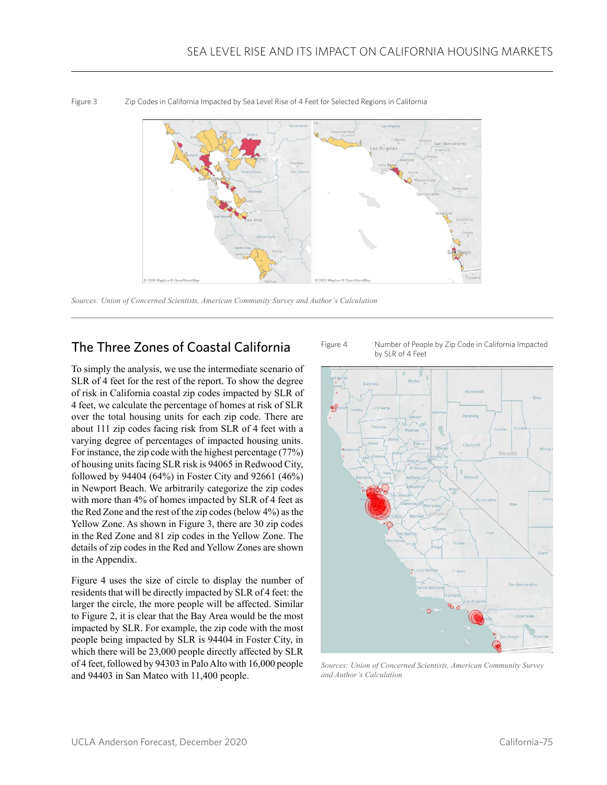

Figure 3 Zip Codes in California Impacted by Sea Level Rise of 4 Feet for Selected Regions in California

*Sources: Union of Concerned Scientists, American Community Survey and Author's Calculation*

### The Three Zones of Coastal California

To simply the analysis, we use the intermediate scenario of SLR of 4 feet for the rest of the report. To show the degree of risk in California coastal zip codes impacted by SLR of 4 feet, we calculate the percentage of homes at risk of SLR over the total housing units for each zip code. There are about 111 zip codes facing risk from SLR of 4 feet with a varying degree of percentages of impacted housing units. For instance, the zip code with the highest percentage (77%) of housing units facing SLR risk is 94065 in Redwood City, followed by 94404 (64%) in Foster City and 92661 (46%) in Newport Beach. We arbitrarily categorize the zip codes with more than 4% of homes impacted by SLR of 4 feet as the Red Zone and the rest of the zip codes (below 4%) as the Yellow Zone. As shown in Figure 3, there are 30 zip codes in the Red Zone and 81 zip codes in the Yellow Zone. The details of zip codes in the Red and Yellow Zones are shown in the Appendix.

Figure 4 uses the size of circle to display the number of residents that will be directly impacted by SLR of 4 feet: the larger the circle, the more people will be affected. Similar to Figure 2, it is clear that the Bay Area would be the most impacted by SLR. For example, the zip code with the most people being impacted by SLR is 94404 in Foster City, in which there will be 23,000 people directly affected by SLR of 4 feet, followed by 94303 in Palo Alto with 16,000 people and 94403 in San Mateo with 11,400 people.





*Sources: Union of Concerned Scientists, American Community Survey and Author's Calculation*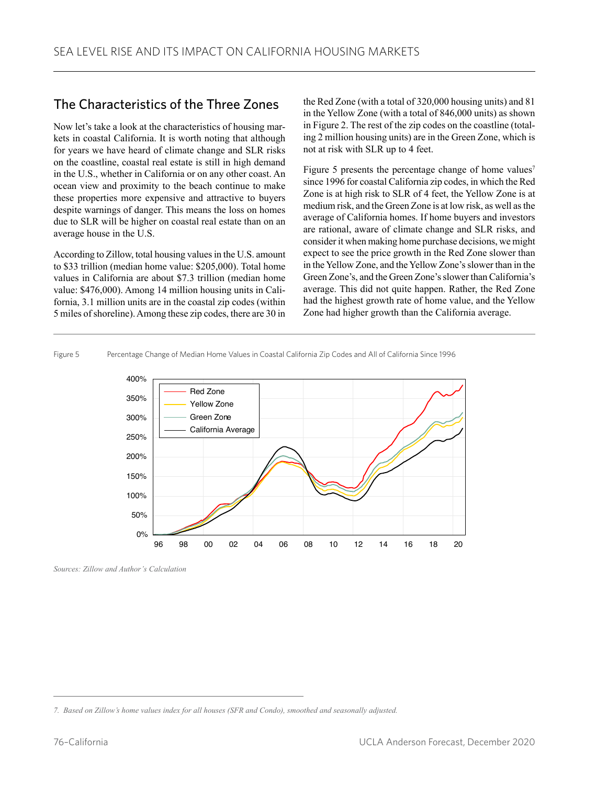### The Characteristics of the Three Zones

Now let's take a look at the characteristics of housing markets in coastal California. It is worth noting that although for years we have heard of climate change and SLR risks on the coastline, coastal real estate is still in high demand in the U.S., whether in California or on any other coast. An ocean view and proximity to the beach continue to make these properties more expensive and attractive to buyers despite warnings of danger. This means the loss on homes due to SLR will be higher on coastal real estate than on an average house in the U.S.

According to Zillow, total housing values in the U.S. amount to \$33 trillion (median home value: \$205,000). Total home values in California are about \$7.3 trillion (median home value: \$476,000). Among 14 million housing units in California, 3.1 million units are in the coastal zip codes (within 5 miles of shoreline). Among these zip codes, there are 30 in

the Red Zone (with a total of 320,000 housing units) and 81 in the Yellow Zone (with a total of 846,000 units) as shown in Figure 2. The rest of the zip codes on the coastline (totaling 2 million housing units) are in the Green Zone, which is not at risk with SLR up to 4 feet.

Figure 5 presents the percentage change of home values<sup>7</sup> since 1996 for coastal California zip codes, in which the Red Zone is at high risk to SLR of 4 feet, the Yellow Zone is at medium risk, and the Green Zone is at low risk, as well as the average of California homes. If home buyers and investors are rational, aware of climate change and SLR risks, and consider it when making home purchase decisions, we might expect to see the price growth in the Red Zone slower than in the Yellow Zone, and the Yellow Zone's slower than in the Green Zone's, and the Green Zone's slower than California's average. This did not quite happen. Rather, the Red Zone had the highest growth rate of home value, and the Yellow Zone had higher growth than the California average.

### Figure 5 Percentage Change of Median Home Values in Coastal California Zip Codes and All of California Since 1996



*Sources: Zillow and Author's Calculation*

*<sup>7.</sup> Based on Zillow's home values index for all houses (SFR and Condo), smoothed and seasonally adjusted.*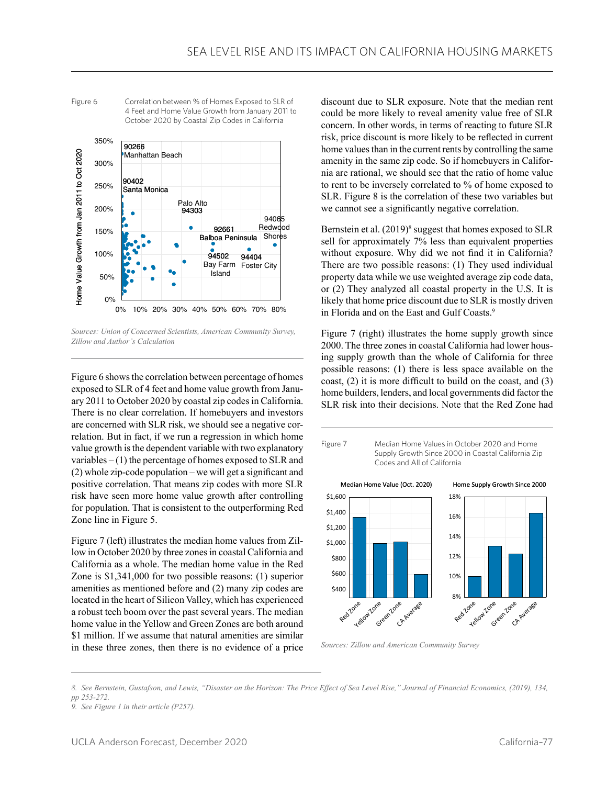

Figure 6 Correlation between % of Homes Exposed to SLR of

4 Feet and Home Value Growth from January 2011 to

Sources: Union of Concerned Scientists, American Community Survey, *Zillow and Author's Calculation*

Figure 6 shows the correlation between percentage of homes exposed to SLR of 4 feet and home value growth from January 2011 to October 2020 by coastal zip codes in California. There is no clear correlation. If homebuyers and investors are concerned with SLR risk, we should see a negative correlation. But in fact, if we run a regression in which home value growth is the dependent variable with two explanatory variables  $- (1)$  the percentage of homes exposed to SLR and (2) whole zip-code population – we will get a significant and positive correlation. That means zip codes with more SLR risk have seen more home value growth after controlling for population. That is consistent to the outperforming Red Zone line in Figure 5.

Figure 7 (left) illustrates the median home values from Zillow in October 2020 by three zones in coastal California and California as a whole. The median home value in the Red Zone is \$1,341,000 for two possible reasons: (1) superior amenities as mentioned before and (2) many zip codes are located in the heart of Silicon Valley, which has experienced a robust tech boom over the past several years. The median home value in the Yellow and Green Zones are both around \$1 million. If we assume that natural amenities are similar in these three zones, then there is no evidence of a price discount due to SLR exposure. Note that the median rent could be more likely to reveal amenity value free of SLR concern. In other words, in terms of reacting to future SLR risk, price discount is more likely to be reflected in current home values than in the current rents by controlling the same amenity in the same zip code. So if homebuyers in California are rational, we should see that the ratio of home value to rent to be inversely correlated to % of home exposed to SLR. Figure 8 is the correlation of these two variables but we cannot see a significantly negative correlation.

Bernstein et al. (2019)<sup>8</sup> suggest that homes exposed to SLR sell for approximately 7% less than equivalent properties without exposure. Why did we not find it in California? There are two possible reasons: (1) They used individual property data while we use weighted average zip code data, or (2) They analyzed all coastal property in the U.S. It is likely that home price discount due to SLR is mostly driven in Florida and on the East and Gulf Coasts.<sup>9</sup>

Figure 7 (right) illustrates the home supply growth since 2000. The three zones in coastal California had lower housing supply growth than the whole of California for three possible reasons: (1) there is less space available on the coast, (2) it is more difficult to build on the coast, and (3) home builders, lenders, and local governments did factor the SLR risk into their decisions. Note that the Red Zone had



*Sources: Zillow and American Community Survey*

*8. See Bernstein, Gustafson, and Lewis, "Disaster on the Horizon: The Price Effect of Sea Level Rise," Journal of Financial Economics, (2019), 134, pp 253-272.*

*<sup>9.</sup> See Figure 1 in their article (P257).*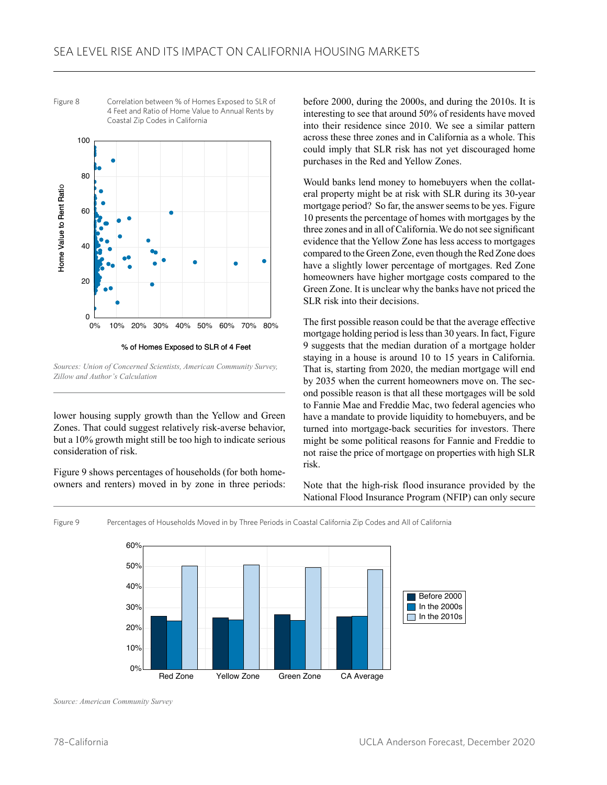

Figure 8 Correlation between % of Homes Exposed to SLR of 4 Feet and Ratio of Home Value to Annual Rents by Coastal Zip Codes in California

% of Homes Exposed to SLR of 4 Feet

*Sources: Union of Concerned Scientists, American Community Survey, Zillow and Author's Calculation*

lower housing supply growth than the Yellow and Green Zones. That could suggest relatively risk-averse behavior, but a 10% growth might still be too high to indicate serious consideration of risk.

Figure 9 shows percentages of households (for both homeowners and renters) moved in by zone in three periods: before 2000, during the 2000s, and during the 2010s. It is interesting to see that around 50% of residents have moved into their residence since 2010. We see a similar pattern across these three zones and in California as a whole. This could imply that SLR risk has not yet discouraged home purchases in the Red and Yellow Zones.

Would banks lend money to homebuyers when the collateral property might be at risk with SLR during its 30-year mortgage period? So far, the answer seems to be yes. Figure 10 presents the percentage of homes with mortgages by the three zones and in all of California.We do not see significant evidence that the Yellow Zone has less access to mortgages compared to the Green Zone, even though the Red Zone does have a slightly lower percentage of mortgages. Red Zone homeowners have higher mortgage costs compared to the Green Zone. It is unclear why the banks have not priced the SLR risk into their decisions.

The first possible reason could be that the average effective mortgage holding period is less than 30 years. In fact, Figure 9 suggests that the median duration of a mortgage holder staying in a house is around 10 to 15 years in California. That is, starting from 2020, the median mortgage will end by 2035 when the current homeowners move on. The second possible reason is that all these mortgages will be sold to Fannie Mae and Freddie Mac, two federal agencies who have a mandate to provide liquidity to homebuyers, and be turned into mortgage-back securities for investors. There might be some political reasons for Fannie and Freddie to not raise the price of mortgage on properties with high SLR risk.

Note that the high-risk flood insurance provided by the National Flood Insurance Program (NFIP) can only secure

Figure 9 Percentages of Households Moved in by Three Periods in Coastal California Zip Codes and All of California



*Source: American Community Survey*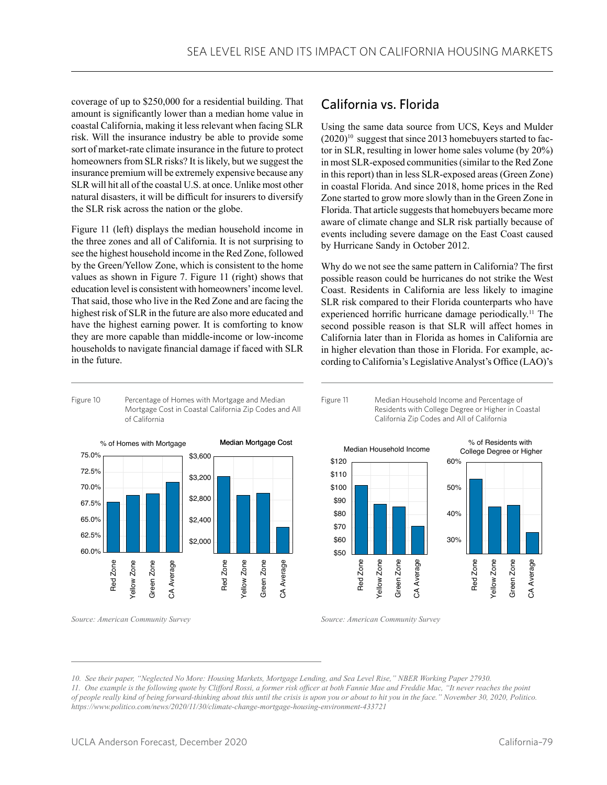coverage of up to \$250,000 for a residential building. That amount is significantly lower than a median home value in coastal California, making it less relevant when facing SLR risk. Will the insurance industry be able to provide some sort of market-rate climate insurance in the future to protect homeowners from SLR risks? It is likely, but we suggest the insurance premium will be extremely expensive because any SLR will hit all of the coastal U.S. at once. Unlike most other natural disasters, it will be difficult for insurers to diversify the SLR risk across the nation or the globe.

Figure 11 (left) displays the median household income in the three zones and all of California. It is not surprising to see the highest household income in the Red Zone, followed by the Green/Yellow Zone, which is consistent to the home values as shown in Figure 7. Figure 11 (right) shows that education level is consistent with homeowners' income level. That said, those who live in the Red Zone and are facing the highest risk of SLR in the future are also more educated and have the highest earning power. It is comforting to know they are more capable than middle-income or low-income households to navigate financial damage if faced with SLR in the future.

### California vs. Florida

Using the same data source from UCS, Keys and Mulder  $(2020)^{10}$  suggest that since 2013 homebuyers started to factor in SLR, resulting in lower home sales volume (by 20%) in most SLR-exposed communities (similar to the Red Zone in this report) than in less SLR-exposed areas (Green Zone) in coastal Florida. And since 2018, home prices in the Red Zone started to grow more slowly than in the Green Zone in Florida. That article suggests that homebuyers became more aware of climate change and SLR risk partially because of events including severe damage on the East Coast caused by Hurricane Sandy in October 2012.

Why do we not see the same pattern in California? The first possible reason could be hurricanes do not strike the West Coast. Residents in California are less likely to imagine SLR risk compared to their Florida counterparts who have experienced horrific hurricane damage periodically.<sup>11</sup> The second possible reason is that SLR will affect homes in California later than in Florida as homes in California are in higher elevation than those in Florida. For example, according to California's Legislative Analyst's Office (LAO)'s





*Source: American Community Survey*





*Source: American Community Survey*

*<sup>10.</sup> See their paper, "Neglected No More: Housing Markets, Mortgage Lending, and Sea Level Rise," NBER Working Paper 27930. 11. One example is the following quote by Clifford Rossi, a former risk officer at both Fannie Mae and Freddie Mac, "It never reaches the point of people really kind of being forward-thinking about this until the crisis is upon you or about to hit you in the face." November 30, 2020, Politico. https://www.politico.com/news/2020/11/30/climate-change-mortgage-housing-environment-433721*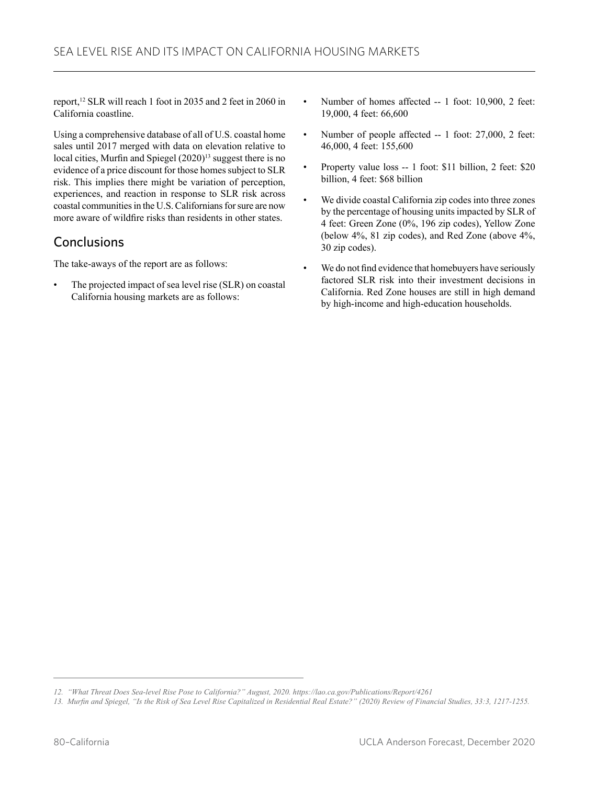report,12 SLR will reach 1 foot in 2035 and 2 feet in 2060 in California coastline.

Using a comprehensive database of all of U.S. coastal home sales until 2017 merged with data on elevation relative to local cities, Murfin and Spiegel (2020)<sup>13</sup> suggest there is no evidence of a price discount for those homes subject to SLR risk. This implies there might be variation of perception, experiences, and reaction in response to SLR risk across coastal communities in the U.S. Californians for sure are now more aware of wildfire risks than residents in other states.

### **Conclusions**

The take-aways of the report are as follows:

The projected impact of sea level rise (SLR) on coastal California housing markets are as follows:

- Number of homes affected -- 1 foot: 10,900, 2 feet: 19,000, 4 feet: 66,600
- Number of people affected -- 1 foot: 27,000, 2 feet: 46,000, 4 feet: 155,600
- Property value loss -- 1 foot: \$11 billion, 2 feet: \$20 billion, 4 feet: \$68 billion
- We divide coastal California zip codes into three zones by the percentage of housing units impacted by SLR of 4 feet: Green Zone (0%, 196 zip codes), Yellow Zone (below 4%, 81 zip codes), and Red Zone (above 4%, 30 zip codes).
- We do not find evidence that homebuyers have seriously factored SLR risk into their investment decisions in California. Red Zone houses are still in high demand by high-income and high-education households.

*<sup>12.</sup> "What Threat Does Sea-level Rise Pose to California?" August, 2020. https://lao.ca.gov/Publications/Report/4261*

*<sup>13.</sup> Murfin and Spiegel, "Is the Risk of Sea Level Rise Capitalized in Residential Real Estate?" (2020) Review of Financial Studies, 33:3, 1217-1255.*